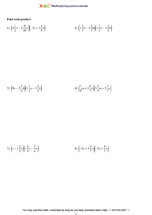

Find each product.

1) 
$$
\left(4\frac{1}{2}x - 2\frac{9}{10}y\right)\left(-2y + 3\frac{1}{8}x\right)
$$
  
2)  $\left(1\frac{2}{3}a - 1\frac{2}{3}b\right)\left(1\frac{1}{3}a - 1\frac{1}{2}b\right)$ 

$$
3)\ \left(9a - 2\frac{5}{6}b\right)\left(1\frac{1}{3}a - 3\frac{2}{5}b\right) \qquad \qquad 4)\ \left(\frac{1}{4}m + 1\frac{6}{7}n\right)\left(3\frac{2}{9}m + 2\frac{3}{7}n\right)
$$

5) 
$$
\left(x - 1\frac{2}{5}y\right)\left(1\frac{5}{8}x - \frac{3}{4}y\right)
$$
   
6)  $\left(-2y + 5\frac{4}{7}x\right)\left(-2y + \frac{6}{7}x\right)$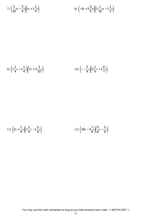7) 
$$
\left(\frac{1}{10}m - \frac{3}{4}n\right)\left(m + 1\frac{1}{4}n\right)
$$
 8)  $\left(-2n + 5\frac{5}{6}m\right)\left(5\frac{1}{10}m - 1\frac{1}{2}n\right)$ 

9) 
$$
\left(1\frac{1}{4}x - 1\frac{1}{4}y\right)\left(7x + 3\frac{3}{10}y\right)
$$
   
10)  $\left(x - \frac{5}{9}y\right)\left(5\frac{1}{6}x + 1\frac{6}{7}y\right)$ 

11) 
$$
\left(2x + \frac{1}{9}y\right)\left(1\frac{2}{9}x - 1\frac{5}{8}y\right)
$$
 12)  $\left(10u - 3\frac{7}{8}v\right)\left(\frac{5}{6}u - \frac{2}{9}v\right)$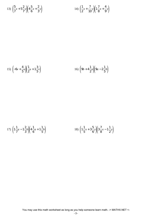13) 
$$
\left(\frac{5}{7}x + 5\frac{2}{7}y\right)\left(4\frac{5}{6}x + \frac{2}{3}y\right)
$$
 14)  $\left(\frac{1}{2}x + \frac{7}{10}y\right)\left(1\frac{7}{8}x + \frac{4}{9}y\right)$ 

15) 
$$
\left(-6v + \frac{4}{5}u\right)\left(\frac{1}{2}u + 1\frac{3}{5}v\right)
$$
 16)  $\left(9b + 4\frac{1}{2}a\right)\left(9a - 2\frac{1}{5}b\right)$ 

17) 
$$
\left(1\frac{1}{7}a - 1\frac{2}{3}b\right)\left(4\frac{1}{6}a + 1\frac{1}{5}b\right)
$$
 18)  $\left(1\frac{1}{5}x + 3\frac{5}{6}y\right)\left(3\frac{7}{8}x - 1\frac{1}{2}y\right)$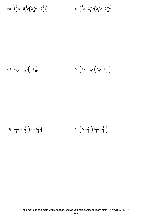19) 
$$
\left(1\frac{1}{2}m + 5\frac{5}{8}n\right)\left(2\frac{1}{4}m + 2\frac{1}{2}n\right)
$$
   
20)  $\left(\frac{7}{8}x - 1\frac{1}{6}y\right)\left(2\frac{1}{8}x - 2\frac{1}{4}y\right)$ 

21) 
$$
\left(2\frac{3}{10}x + \frac{2}{3}y\right)\left(x + \frac{7}{8}y\right)
$$
 22)  $\left(3m - 1\frac{1}{2}n\right)\left(2\frac{1}{2}m + \frac{1}{3}n\right)$ 

23) 
$$
\left(2\frac{1}{6}x+5\frac{1}{2}y\right)\left(x-3\frac{2}{3}y\right)
$$
 24)  $\left(2x-\frac{2}{5}y\right)\left(4\frac{7}{8}x-\frac{1}{3}y\right)$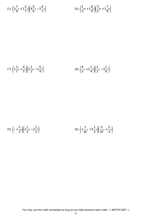25) 
$$
\left(3\frac{7}{9}x+1\frac{2}{7}y\right)\left(4\frac{5}{6}x-2\frac{4}{7}y\right)
$$
 26)  $\left(\frac{2}{3}m+1\frac{8}{9}n\right)\left(\frac{3}{5}m+1\frac{7}{9}n\right)$ 

27) 
$$
\left(1\frac{3}{7}u + \frac{4}{5}v\right)\left(2\frac{1}{2}u - 1\frac{5}{9}v\right)
$$
 28)  $\left(\frac{4}{5}x + 1\frac{1}{4}v\right)\left(\frac{1}{3}x - 3\frac{1}{6}v\right)$ 

29) 
$$
\left(v + \frac{2}{3}u\right)\left(2\frac{1}{2}u - 2\frac{1}{2}v\right)
$$
 30)  $\left(1\frac{7}{10}x + 5\frac{1}{2}v\right)\left(\frac{3}{10}x + \frac{2}{3}v\right)$